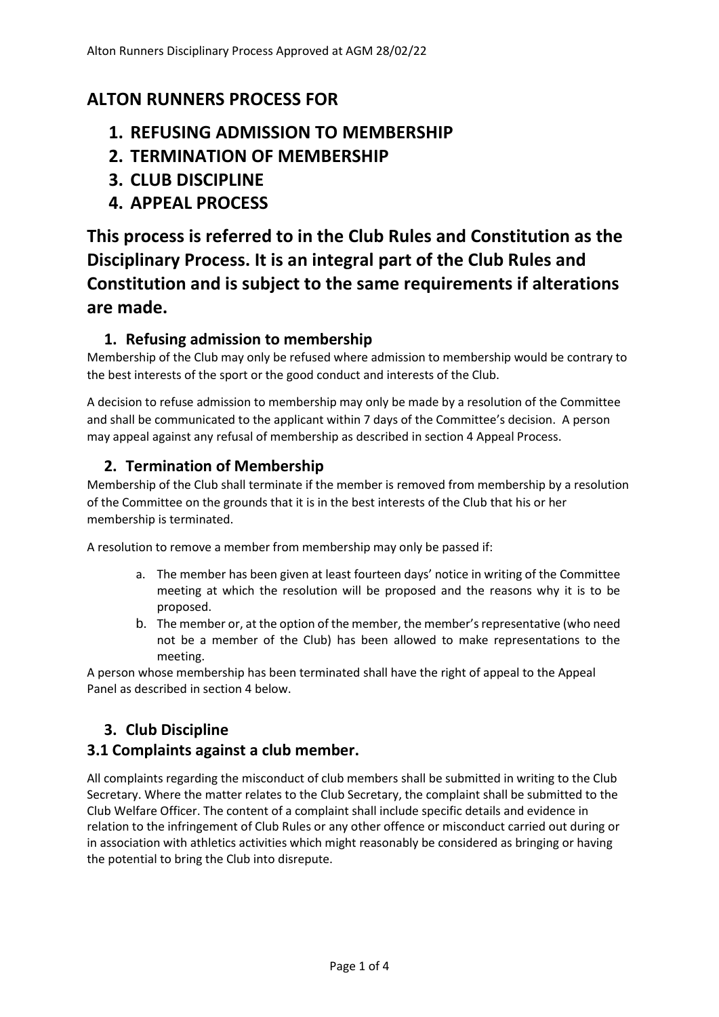# **ALTON RUNNERS PROCESS FOR**

- **1. REFUSING ADMISSION TO MEMBERSHIP**
- **2. TERMINATION OF MEMBERSHIP**
- **3. CLUB DISCIPLINE**
- **4. APPEAL PROCESS**

**This process is referred to in the Club Rules and Constitution as the Disciplinary Process. It is an integral part of the Club Rules and Constitution and is subject to the same requirements if alterations are made.**

# **1. Refusing admission to membership**

Membership of the Club may only be refused where admission to membership would be contrary to the best interests of the sport or the good conduct and interests of the Club.

A decision to refuse admission to membership may only be made by a resolution of the Committee and shall be communicated to the applicant within 7 days of the Committee's decision. A person may appeal against any refusal of membership as described in section 4 Appeal Process.

## **2. Termination of Membership**

Membership of the Club shall terminate if the member is removed from membership by a resolution of the Committee on the grounds that it is in the best interests of the Club that his or her membership is terminated.

A resolution to remove a member from membership may only be passed if:

- a. The member has been given at least fourteen days' notice in writing of the Committee meeting at which the resolution will be proposed and the reasons why it is to be proposed.
- b. The member or, at the option of the member, the member's representative (who need not be a member of the Club) has been allowed to make representations to the meeting.

A person whose membership has been terminated shall have the right of appeal to the Appeal Panel as described in section 4 below.

# **3. Club Discipline**

## **3.1 Complaints against a club member.**

All complaints regarding the misconduct of club members shall be submitted in writing to the Club Secretary. Where the matter relates to the Club Secretary, the complaint shall be submitted to the Club Welfare Officer. The content of a complaint shall include specific details and evidence in relation to the infringement of Club Rules or any other offence or misconduct carried out during or in association with athletics activities which might reasonably be considered as bringing or having the potential to bring the Club into disrepute.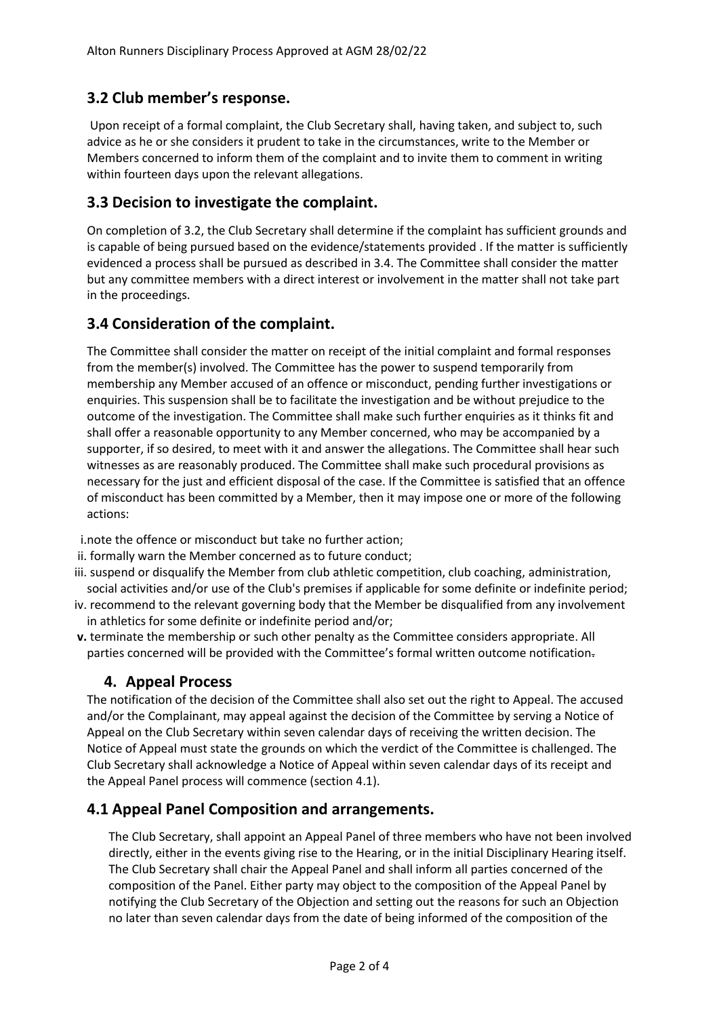## **3.2 Club member's response.**

Upon receipt of a formal complaint, the Club Secretary shall, having taken, and subject to, such advice as he or she considers it prudent to take in the circumstances, write to the Member or Members concerned to inform them of the complaint and to invite them to comment in writing within fourteen days upon the relevant allegations.

## **3.3 Decision to investigate the complaint.**

On completion of 3.2, the Club Secretary shall determine if the complaint has sufficient grounds and is capable of being pursued based on the evidence/statements provided . If the matter is sufficiently evidenced a process shall be pursued as described in 3.4. The Committee shall consider the matter but any committee members with a direct interest or involvement in the matter shall not take part in the proceedings.

## **3.4 Consideration of the complaint.**

The Committee shall consider the matter on receipt of the initial complaint and formal responses from the member(s) involved. The Committee has the power to suspend temporarily from membership any Member accused of an offence or misconduct, pending further investigations or enquiries. This suspension shall be to facilitate the investigation and be without prejudice to the outcome of the investigation. The Committee shall make such further enquiries as it thinks fit and shall offer a reasonable opportunity to any Member concerned, who may be accompanied by a supporter, if so desired, to meet with it and answer the allegations. The Committee shall hear such witnesses as are reasonably produced. The Committee shall make such procedural provisions as necessary for the just and efficient disposal of the case. If the Committee is satisfied that an offence of misconduct has been committed by a Member, then it may impose one or more of the following actions:

i.note the offence or misconduct but take no further action;

- ii. formally warn the Member concerned as to future conduct;
- iii. suspend or disqualify the Member from club athletic competition, club coaching, administration, social activities and/or use of the Club's premises if applicable for some definite or indefinite period;
- iv. recommend to the relevant governing body that the Member be disqualified from any involvement in athletics for some definite or indefinite period and/or;
- **v.** terminate the membership or such other penalty as the Committee considers appropriate. All parties concerned will be provided with the Committee's formal written outcome notification.

### **4. Appeal Process**

The notification of the decision of the Committee shall also set out the right to Appeal. The accused and/or the Complainant, may appeal against the decision of the Committee by serving a Notice of Appeal on the Club Secretary within seven calendar days of receiving the written decision. The Notice of Appeal must state the grounds on which the verdict of the Committee is challenged. The Club Secretary shall acknowledge a Notice of Appeal within seven calendar days of its receipt and the Appeal Panel process will commence (section 4.1).

### **4.1 Appeal Panel Composition and arrangements.**

The Club Secretary, shall appoint an Appeal Panel of three members who have not been involved directly, either in the events giving rise to the Hearing, or in the initial Disciplinary Hearing itself. The Club Secretary shall chair the Appeal Panel and shall inform all parties concerned of the composition of the Panel. Either party may object to the composition of the Appeal Panel by notifying the Club Secretary of the Objection and setting out the reasons for such an Objection no later than seven calendar days from the date of being informed of the composition of the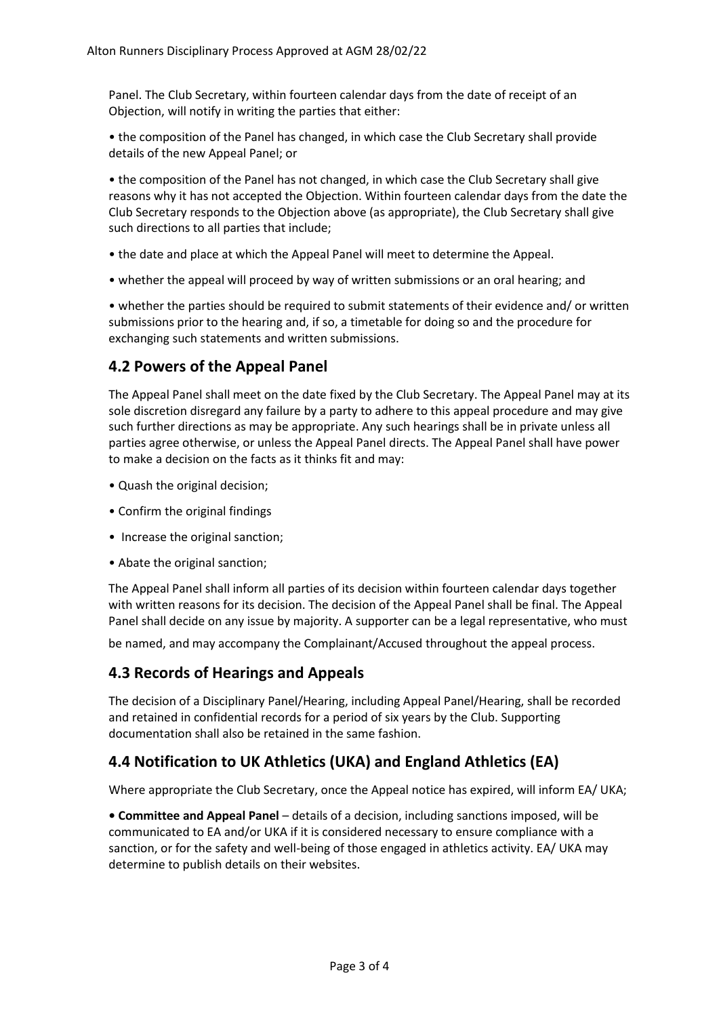Panel. The Club Secretary, within fourteen calendar days from the date of receipt of an Objection, will notify in writing the parties that either:

• the composition of the Panel has changed, in which case the Club Secretary shall provide details of the new Appeal Panel; or

• the composition of the Panel has not changed, in which case the Club Secretary shall give reasons why it has not accepted the Objection. Within fourteen calendar days from the date the Club Secretary responds to the Objection above (as appropriate), the Club Secretary shall give such directions to all parties that include;

- the date and place at which the Appeal Panel will meet to determine the Appeal.
- whether the appeal will proceed by way of written submissions or an oral hearing; and

• whether the parties should be required to submit statements of their evidence and/ or written submissions prior to the hearing and, if so, a timetable for doing so and the procedure for exchanging such statements and written submissions.

### **4.2 Powers of the Appeal Panel**

The Appeal Panel shall meet on the date fixed by the Club Secretary. The Appeal Panel may at its sole discretion disregard any failure by a party to adhere to this appeal procedure and may give such further directions as may be appropriate. Any such hearings shall be in private unless all parties agree otherwise, or unless the Appeal Panel directs. The Appeal Panel shall have power to make a decision on the facts as it thinks fit and may:

- Quash the original decision;
- Confirm the original findings
- Increase the original sanction;
- Abate the original sanction;

The Appeal Panel shall inform all parties of its decision within fourteen calendar days together with written reasons for its decision. The decision of the Appeal Panel shall be final. The Appeal Panel shall decide on any issue by majority. A supporter can be a legal representative, who must

be named, and may accompany the Complainant/Accused throughout the appeal process.

### **4.3 Records of Hearings and Appeals**

The decision of a Disciplinary Panel/Hearing, including Appeal Panel/Hearing, shall be recorded and retained in confidential records for a period of six years by the Club. Supporting documentation shall also be retained in the same fashion.

### **4.4 Notification to UK Athletics (UKA) and England Athletics (EA)**

Where appropriate the Club Secretary, once the Appeal notice has expired, will inform EA/ UKA;

**• Committee and Appeal Panel** – details of a decision, including sanctions imposed, will be communicated to EA and/or UKA if it is considered necessary to ensure compliance with a sanction, or for the safety and well-being of those engaged in athletics activity. EA/ UKA may determine to publish details on their websites.